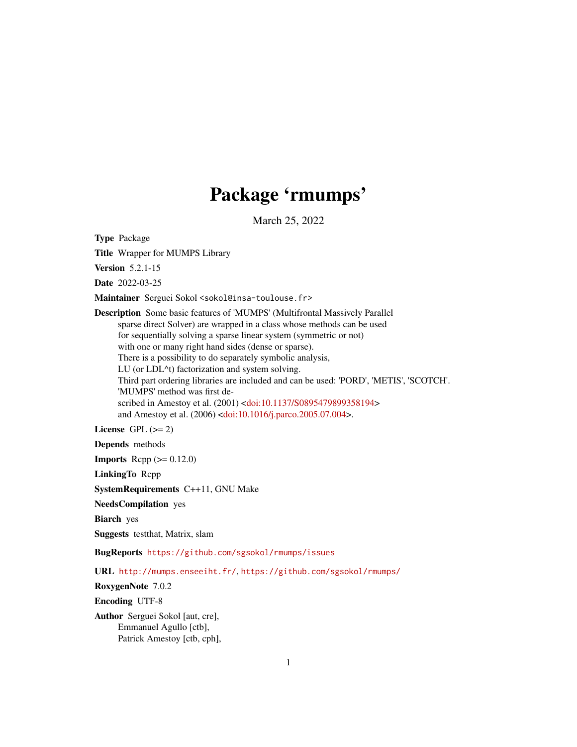## Package 'rmumps'

March 25, 2022

Type Package

Title Wrapper for MUMPS Library

Version 5.2.1-15

Date 2022-03-25

Maintainer Serguei Sokol <sokol@insa-toulouse.fr>

Description Some basic features of 'MUMPS' (Multifrontal Massively Parallel sparse direct Solver) are wrapped in a class whose methods can be used for sequentially solving a sparse linear system (symmetric or not) with one or many right hand sides (dense or sparse). There is a possibility to do separately symbolic analysis, LU (or LDL^t) factorization and system solving. Third part ordering libraries are included and can be used: 'PORD', 'METIS', 'SCOTCH'. 'MUMPS' method was first described in Amestoy et al. (2001) [<doi:10.1137/S0895479899358194>](https://doi.org/10.1137/S0895479899358194) and Amestoy et al. (2006) [<doi:10.1016/j.parco.2005.07.004>](https://doi.org/10.1016/j.parco.2005.07.004).

License GPL  $(>= 2)$ 

Depends methods

**Imports** Rcpp  $(>= 0.12.0)$ 

LinkingTo Rcpp

SystemRequirements C++11, GNU Make

NeedsCompilation yes

Biarch yes

Suggests testthat, Matrix, slam

BugReports <https://github.com/sgsokol/rmumps/issues>

URL <http://mumps.enseeiht.fr/>, <https://github.com/sgsokol/rmumps/>

RoxygenNote 7.0.2

Encoding UTF-8

Author Serguei Sokol [aut, cre], Emmanuel Agullo [ctb], Patrick Amestoy [ctb, cph],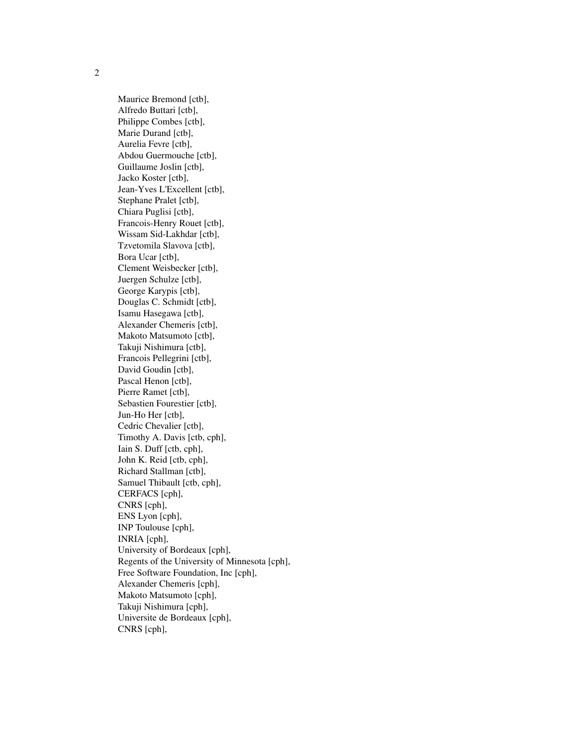Maurice Bremond [ctb], Alfredo Buttari [ctb], Philippe Combes [ctb], Marie Durand [ctb], Aurelia Fevre [ctb], Abdou Guermouche [ctb], Guillaume Joslin [ctb], Jacko Koster [ctb], Jean-Yves L'Excellent [ctb], Stephane Pralet [ctb], Chiara Puglisi [ctb], Francois-Henry Rouet [ctb], Wissam Sid-Lakhdar [ctb], Tzvetomila Slavova [ctb], Bora Ucar [ctb], Clement Weisbecker [ctb], Juergen Schulze [ctb], George Karypis [ctb], Douglas C. Schmidt [ctb], Isamu Hasegawa [ctb], Alexander Chemeris [ctb], Makoto Matsumoto [ctb], Takuji Nishimura [ctb], Francois Pellegrini [ctb], David Goudin [ctb], Pascal Henon [ctb], Pierre Ramet [ctb], Sebastien Fourestier [ctb], Jun-Ho Her [ctb], Cedric Chevalier [ctb], Timothy A. Davis [ctb, cph], Iain S. Duff [ctb, cph], John K. Reid [ctb, cph], Richard Stallman [ctb], Samuel Thibault [ctb, cph], CERFACS [cph], CNRS [cph], ENS Lyon [cph], INP Toulouse [cph], INRIA [cph], University of Bordeaux [cph], Regents of the University of Minnesota [cph], Free Software Foundation, Inc [cph], Alexander Chemeris [cph], Makoto Matsumoto [cph], Takuji Nishimura [cph], Universite de Bordeaux [cph], CNRS [cph],

2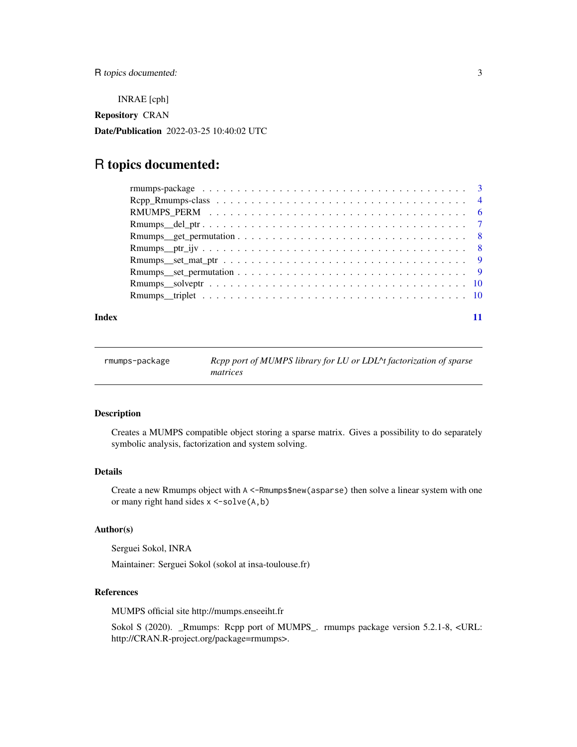<span id="page-2-0"></span>INRAE [cph]

Repository CRAN

Date/Publication 2022-03-25 10:40:02 UTC

### R topics documented:

#### **Index** [11](#page-10-0)

| rmumps-package | Repp port of MUMPS library for LU or LDL^t factorization of sparse<br>matrices |
|----------------|--------------------------------------------------------------------------------|
|----------------|--------------------------------------------------------------------------------|

#### Description

Creates a MUMPS compatible object storing a sparse matrix. Gives a possibility to do separately symbolic analysis, factorization and system solving.

#### Details

Create a new Rmumps object with A <-Rmumps\$new(asparse) then solve a linear system with one or many right hand sides  $x < -solve(A, b)$ 

#### Author(s)

Serguei Sokol, INRA

Maintainer: Serguei Sokol (sokol at insa-toulouse.fr)

#### References

MUMPS official site http://mumps.enseeiht.fr

Sokol S (2020). \_Rmumps: Rcpp port of MUMPS\_. rmumps package version 5.2.1-8, <URL: http://CRAN.R-project.org/package=rmumps>.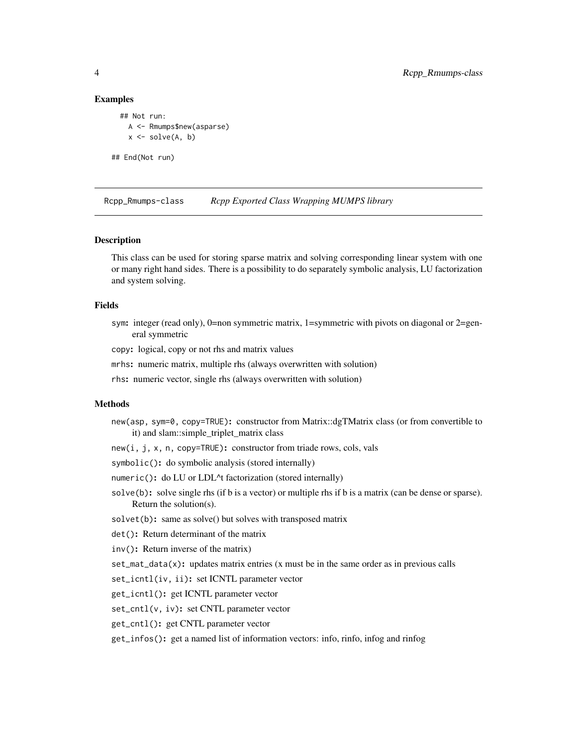#### <span id="page-3-0"></span>Examples

```
## Not run:
    A <- Rmumps$new(asparse)
    x \leftarrow solve(A, b)## End(Not run)
```
Rcpp\_Rmumps-class *Rcpp Exported Class Wrapping MUMPS library*

#### Description

This class can be used for storing sparse matrix and solving corresponding linear system with one or many right hand sides. There is a possibility to do separately symbolic analysis, LU factorization and system solving.

#### Fields

sym: integer (read only), 0=non symmetric matrix, 1=symmetric with pivots on diagonal or 2=general symmetric

copy: logical, copy or not rhs and matrix values

mrhs: numeric matrix, multiple rhs (always overwritten with solution)

rhs: numeric vector, single rhs (always overwritten with solution)

#### Methods

- new(asp, sym=0, copy=TRUE): constructor from Matrix::dgTMatrix class (or from convertible to it) and slam::simple\_triplet\_matrix class
- new(i, j, x, n, copy=TRUE): constructor from triade rows, cols, vals

symbolic(): do symbolic analysis (stored internally)

- numeric(): do LU or LDL^t factorization (stored internally)
- solve(b): solve single rhs (if b is a vector) or multiple rhs if b is a matrix (can be dense or sparse). Return the solution(s).
- solvet(b): same as solve() but solves with transposed matrix
- det(): Return determinant of the matrix
- inv(): Return inverse of the matrix)
- $set_matrix_data(x)$ : updates matrix entries (x must be in the same order as in previous calls
- set\_icntl(iv, ii): set ICNTL parameter vector
- get\_icntl(): get ICNTL parameter vector
- set\_cntl(v, iv): set CNTL parameter vector
- get\_cntl(): get CNTL parameter vector

get\_infos(): get a named list of information vectors: info, rinfo, infog and rinfog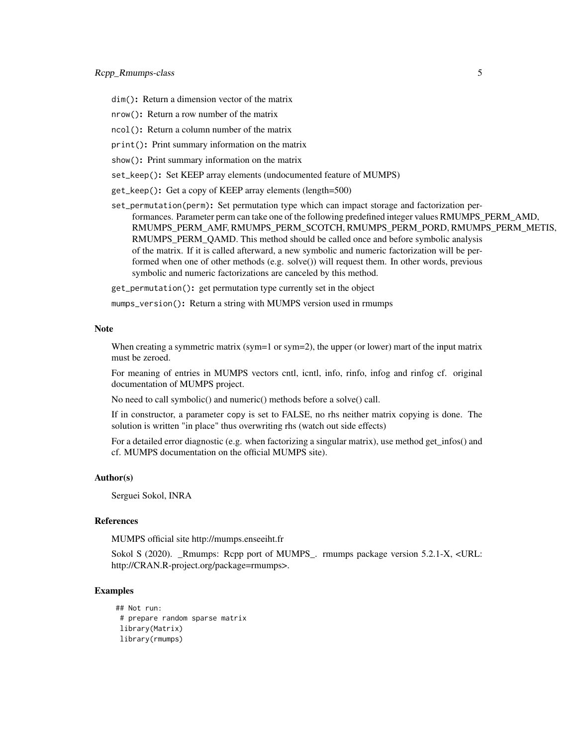dim(): Return a dimension vector of the matrix

- nrow(): Return a row number of the matrix
- ncol(): Return a column number of the matrix
- print(): Print summary information on the matrix
- show(): Print summary information on the matrix
- set\_keep(): Set KEEP array elements (undocumented feature of MUMPS)
- get\_keep(): Get a copy of KEEP array elements (length=500)
- set\_permutation(perm): Set permutation type which can impact storage and factorization performances. Parameter perm can take one of the following predefined integer values RMUMPS\_PERM\_AMD, RMUMPS\_PERM\_AMF, RMUMPS\_PERM\_SCOTCH, RMUMPS\_PERM\_PORD, RMUMPS\_PERM\_METIS, RMUMPS\_PERM\_QAMD. This method should be called once and before symbolic analysis of the matrix. If it is called afterward, a new symbolic and numeric factorization will be performed when one of other methods (e.g. solve()) will request them. In other words, previous symbolic and numeric factorizations are canceled by this method.

get\_permutation(): get permutation type currently set in the object

mumps\_version(): Return a string with MUMPS version used in rmumps

#### Note

When creating a symmetric matrix (sym=1 or sym=2), the upper (or lower) mart of the input matrix must be zeroed.

For meaning of entries in MUMPS vectors cntl, icntl, info, rinfo, infog and rinfog cf. original documentation of MUMPS project.

No need to call symbolic() and numeric() methods before a solve() call.

If in constructor, a parameter copy is set to FALSE, no rhs neither matrix copying is done. The solution is written "in place" thus overwriting rhs (watch out side effects)

For a detailed error diagnostic (e.g. when factorizing a singular matrix), use method get\_infos() and cf. MUMPS documentation on the official MUMPS site).

#### Author(s)

Serguei Sokol, INRA

#### References

MUMPS official site http://mumps.enseeiht.fr

Sokol S (2020). \_Rmumps: Rcpp port of MUMPS\_. rmumps package version 5.2.1-X, <URL: http://CRAN.R-project.org/package=rmumps>.

#### Examples

```
## Not run:
# prepare random sparse matrix
library(Matrix)
library(rmumps)
```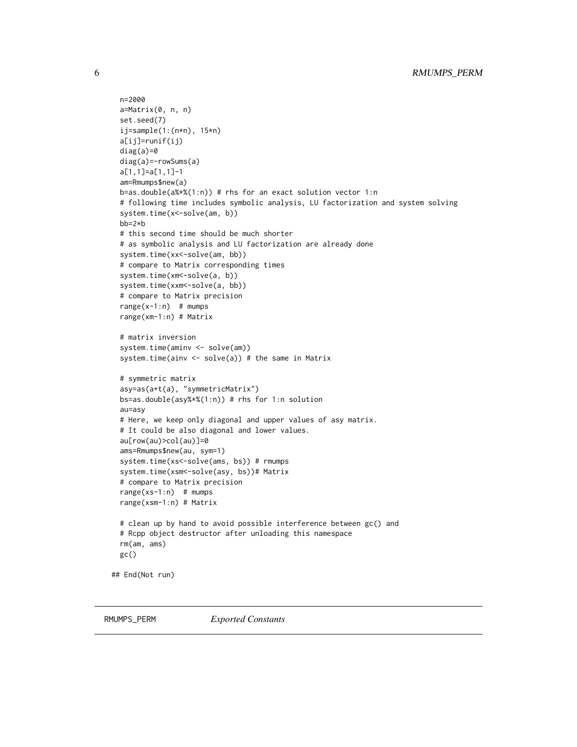```
n=2000
 a=Matrix(0, n, n)
 set.seed(7)
 ij=sample(1:(n*n), 15*n)
 a[ij]=runif(ij)
 diag(a)=0diag(a)=-rowSums(a)
 a[1,1]=a[1,1]-1
 am=Rmumps$new(a)
 b=as.double(a%*%(1:n)) # rhs for an exact solution vector 1:n
 # following time includes symbolic analysis, LU factorization and system solving
 system.time(x<-solve(am, b))
 bb=2*b
 # this second time should be much shorter
 # as symbolic analysis and LU factorization are already done
 system.time(xx<-solve(am, bb))
 # compare to Matrix corresponding times
 system.time(xm<-solve(a, b))
 system.time(xxm<-solve(a, bb))
 # compare to Matrix precision
 range(x-1:n) # mumps
 range(xm-1:n) # Matrix
 # matrix inversion
 system.time(aminv <- solve(am))
 system.time(ainv \le solve(a)) # the same in Matrix
 # symmetric matrix
 asy=as(a+t(a), "symmetricMatrix")
 bs=as.double(asy%*%(1:n)) # rhs for 1:n solution
 au=asy
 # Here, we keep only diagonal and upper values of asy matrix.
 # It could be also diagonal and lower values.
 au[row(au)>col(au)]=0
 ams=Rmumps$new(au, sym=1)
 system.time(xs<-solve(ams, bs)) # rmumps
 system.time(xsm<-solve(asy, bs))# Matrix
 # compare to Matrix precision
 range(xs-1:n) # mumps
 range(xsm-1:n) # Matrix
 # clean up by hand to avoid possible interference between gc() and
 # Rcpp object destructor after unloading this namespace
 rm(am, ams)
 gc()
## End(Not run)
```
<span id="page-5-1"></span>RMUMPS\_PERM *Exported Constants*

<span id="page-5-0"></span>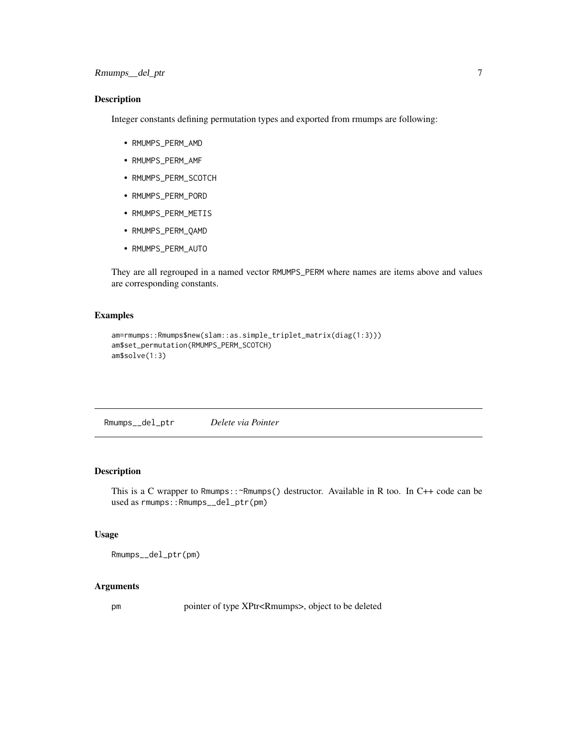#### <span id="page-6-0"></span>Description

Integer constants defining permutation types and exported from rmumps are following:

- RMUMPS\_PERM\_AMD
- RMUMPS\_PERM\_AMF
- RMUMPS\_PERM\_SCOTCH
- RMUMPS\_PERM\_PORD
- RMUMPS\_PERM\_METIS
- RMUMPS\_PERM\_QAMD
- RMUMPS\_PERM\_AUTO

They are all regrouped in a named vector RMUMPS\_PERM where names are items above and values are corresponding constants.

#### Examples

```
am=rmumps::Rmumps$new(slam::as.simple_triplet_matrix(diag(1:3)))
am$set_permutation(RMUMPS_PERM_SCOTCH)
am$solve(1:3)
```
Rmumps\_\_del\_ptr *Delete via Pointer*

#### Description

This is a C wrapper to Rmumps::~Rmumps() destructor. Available in R too. In C++ code can be used as rmumps:: Rmumps\_\_del\_ptr(pm)

#### Usage

Rmumps\_\_del\_ptr(pm)

#### Arguments

pm pointer of type XPtr<Rmumps>, object to be deleted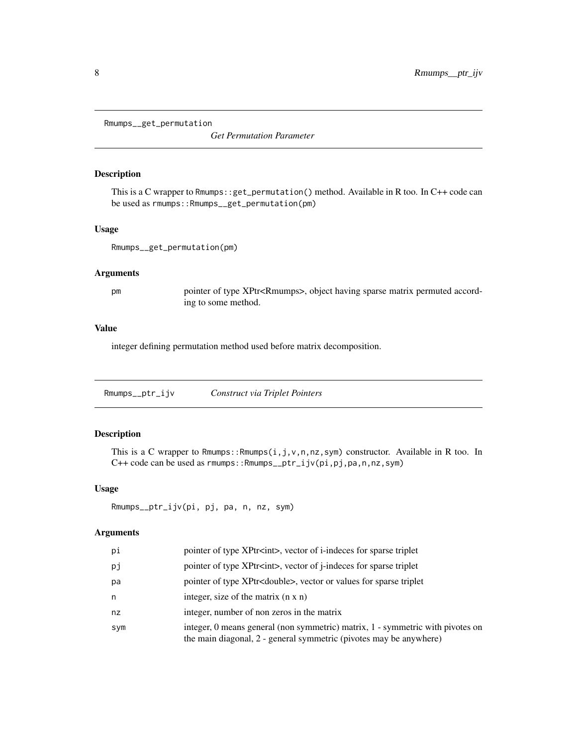<span id="page-7-0"></span>Rmumps\_\_get\_permutation

*Get Permutation Parameter*

#### Description

This is a C wrapper to Rmumps::get\_permutation() method. Available in R too. In C++ code can be used as rmumps::Rmumps\_\_get\_permutation(pm)

#### Usage

Rmumps\_\_get\_permutation(pm)

#### Arguments

pm pointer of type XPtr<Rmumps>, object having sparse matrix permuted according to some method.

#### Value

integer defining permutation method used before matrix decomposition.

Rmumps\_\_ptr\_ijv *Construct via Triplet Pointers*

### Description

This is a C wrapper to Rmumps::Rmumps $(i, j, v, n, nz, sym)$  constructor. Available in R too. In C++ code can be used as rmumps::Rmumps\_\_ptr\_ijv(pi,pj,pa,n,nz,sym)

#### Usage

```
Rmumps__ptr_ijv(pi, pj, pa, n, nz, sym)
```
#### Arguments

| рi  | pointer of type XPtr <int>, vector of i-indeces for sparse triplet</int>                                                                             |
|-----|------------------------------------------------------------------------------------------------------------------------------------------------------|
| рj  | pointer of type XPtr <int>, vector of j-indeces for sparse triplet</int>                                                                             |
| рa  | pointer of type XPtr <double>, vector or values for sparse triplet</double>                                                                          |
| n   | integer, size of the matrix $(n \times n)$                                                                                                           |
| nz  | integer, number of non zeros in the matrix                                                                                                           |
| sym | integer, 0 means general (non symmetric) matrix, 1 - symmetric with pivotes on<br>the main diagonal, 2 - general symmetric (pivotes may be anywhere) |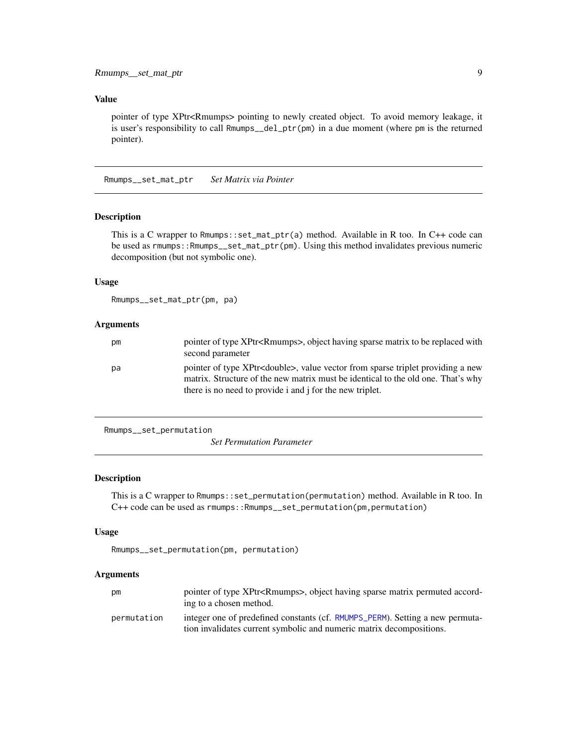#### <span id="page-8-0"></span>Value

pointer of type XPtr<Rmumps> pointing to newly created object. To avoid memory leakage, it is user's responsibility to call Rmumps\_\_del\_ptr(pm) in a due moment (where pm is the returned pointer).

Rmumps\_\_set\_mat\_ptr *Set Matrix via Pointer*

#### Description

This is a C wrapper to Rmumps::set\_mat\_ptr(a) method. Available in R too. In C++ code can be used as rmumps::Rmumps\_\_set\_mat\_ptr(pm). Using this method invalidates previous numeric decomposition (but not symbolic one).

#### Usage

Rmumps\_\_set\_mat\_ptr(pm, pa)

#### Arguments

| pm | pointer of type XPtr <rmumps>, object having sparse matrix to be replaced with<br/>second parameter</rmumps>                                                                                                                               |
|----|--------------------------------------------------------------------------------------------------------------------------------------------------------------------------------------------------------------------------------------------|
| pa | pointer of type XPtr <double>, value vector from sparse triplet providing a new<br/>matrix. Structure of the new matrix must be identical to the old one. That's why<br/>there is no need to provide i and i for the new triplet.</double> |

```
Rmumps__set_permutation
```
*Set Permutation Parameter*

#### Description

This is a C wrapper to Rmumps::set\_permutation(permutation) method. Available in R too. In C++ code can be used as rmumps::Rmumps\_\_set\_permutation(pm,permutation)

#### Usage

```
Rmumps__set_permutation(pm, permutation)
```
#### Arguments

| рm          | pointer of type XPtr <rmumps>, object having sparse matrix permuted accord-<br/>ing to a chosen method.</rmumps>                                      |
|-------------|-------------------------------------------------------------------------------------------------------------------------------------------------------|
| permutation | integer one of predefined constants (cf. RMUMPS_PERM). Setting a new permuta-<br>tion invalidates current symbolic and numeric matrix decompositions. |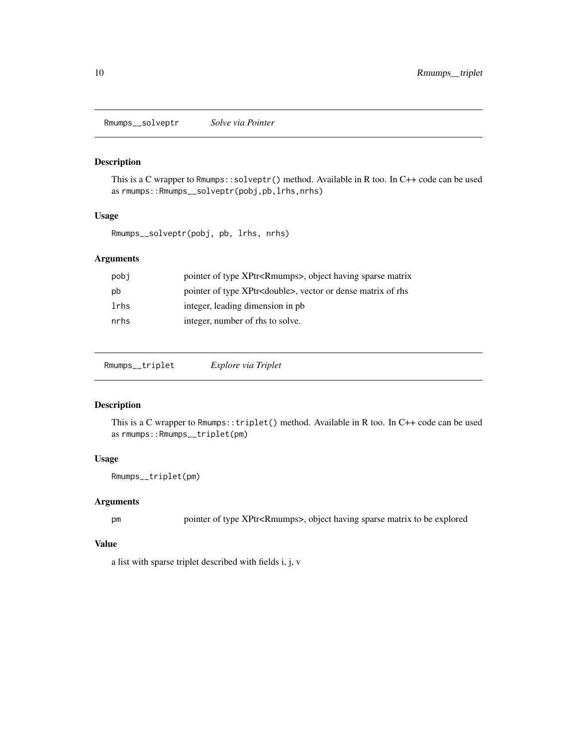<span id="page-9-0"></span>Rmumps\_\_solveptr *Solve via Pointer*

#### Description

This is a C wrapper to Rmumps::solveptr() method. Available in R too. In C++ code can be used as rmumps::Rmumps\_\_solveptr(pobj,pb,lrhs,nrhs)

#### Usage

Rmumps\_\_solveptr(pobj, pb, lrhs, nrhs)

#### Arguments

| pobi | pointer of type XPtr <rmumps>, object having sparse matrix</rmumps>   |
|------|-----------------------------------------------------------------------|
| pb   | pointer of type XPtr <double>, vector or dense matrix of rhs</double> |
| lrhs | integer, leading dimension in pb.                                     |
| nrhs | integer, number of rhs to solve.                                      |

Rmumps\_\_triplet *Explore via Triplet*

#### Description

This is a C wrapper to Rmumps::triplet() method. Available in R too. In C++ code can be used as rmumps::Rmumps\_\_triplet(pm)

### Usage

Rmumps\_\_triplet(pm)

#### Arguments

pm pointer of type XPtr<Rmumps>, object having sparse matrix to be explored

#### Value

a list with sparse triplet described with fields i, j, v